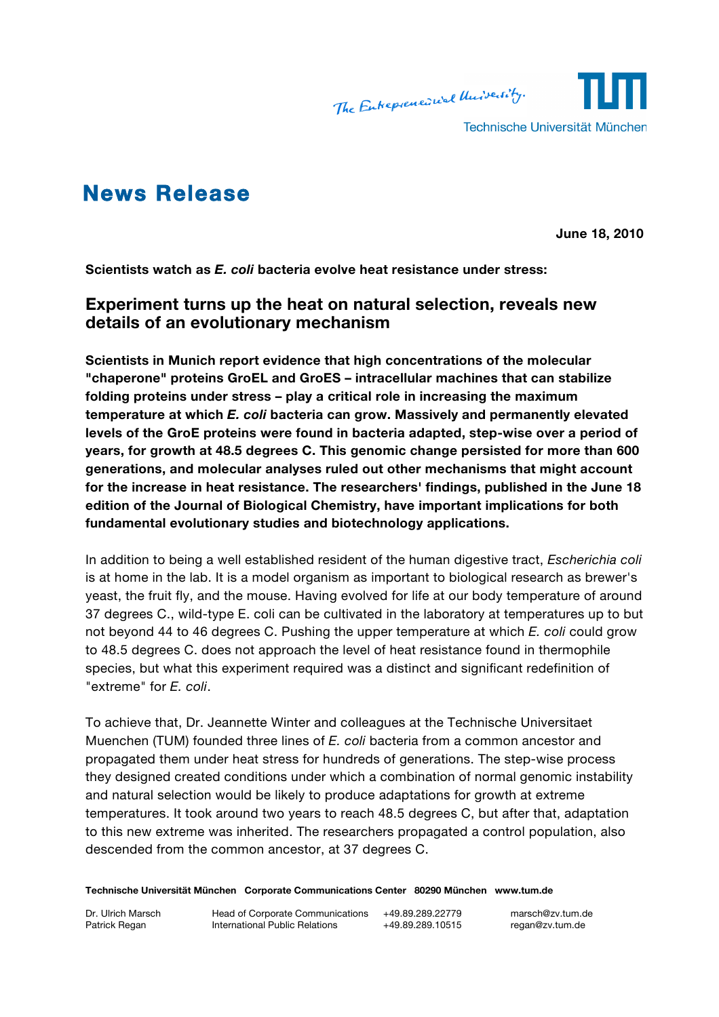

# **News Release**

**June 18, 2010**

**Scientists watch as** *E. coli* **bacteria evolve heat resistance under stress:**

# **Experiment turns up the heat on natural selection, reveals new details of an evolutionary mechanism**

**Scientists in Munich report evidence that high concentrations of the molecular "chaperone" proteins GroEL and GroES – intracellular machines that can stabilize folding proteins under stress – play a critical role in increasing the maximum temperature at which** *E. coli* **bacteria can grow. Massively and permanently elevated levels of the GroE proteins were found in bacteria adapted, step-wise over a period of years, for growth at 48.5 degrees C. This genomic change persisted for more than 600 generations, and molecular analyses ruled out other mechanisms that might account for the increase in heat resistance. The researchers' findings, published in the June 18 edition of the Journal of Biological Chemistry, have important implications for both fundamental evolutionary studies and biotechnology applications.** 

In addition to being a well established resident of the human digestive tract, *Escherichia coli* is at home in the lab. It is a model organism as important to biological research as brewer's yeast, the fruit fly, and the mouse. Having evolved for life at our body temperature of around 37 degrees C., wild-type E. coli can be cultivated in the laboratory at temperatures up to but not beyond 44 to 46 degrees C. Pushing the upper temperature at which *E. coli* could grow to 48.5 degrees C. does not approach the level of heat resistance found in thermophile species, but what this experiment required was a distinct and significant redefinition of "extreme" for *E. coli*.

To achieve that, Dr. Jeannette Winter and colleagues at the Technische Universitaet Muenchen (TUM) founded three lines of *E. coli* bacteria from a common ancestor and propagated them under heat stress for hundreds of generations. The step-wise process they designed created conditions under which a combination of normal genomic instability and natural selection would be likely to produce adaptations for growth at extreme temperatures. It took around two years to reach 48.5 degrees C, but after that, adaptation to this new extreme was inherited. The researchers propagated a control population, also descended from the common ancestor, at 37 degrees C.

**Technische Universität München Corporate Communications Center 80290 München www.tum.de**

Dr. Ulrich Marsch **Head of Corporate Communications** +49.89.289.22779 marsch@zv.tum.de Patrick Regan **International Public Relations** +49.89.289.10515 regan@zv.tum.de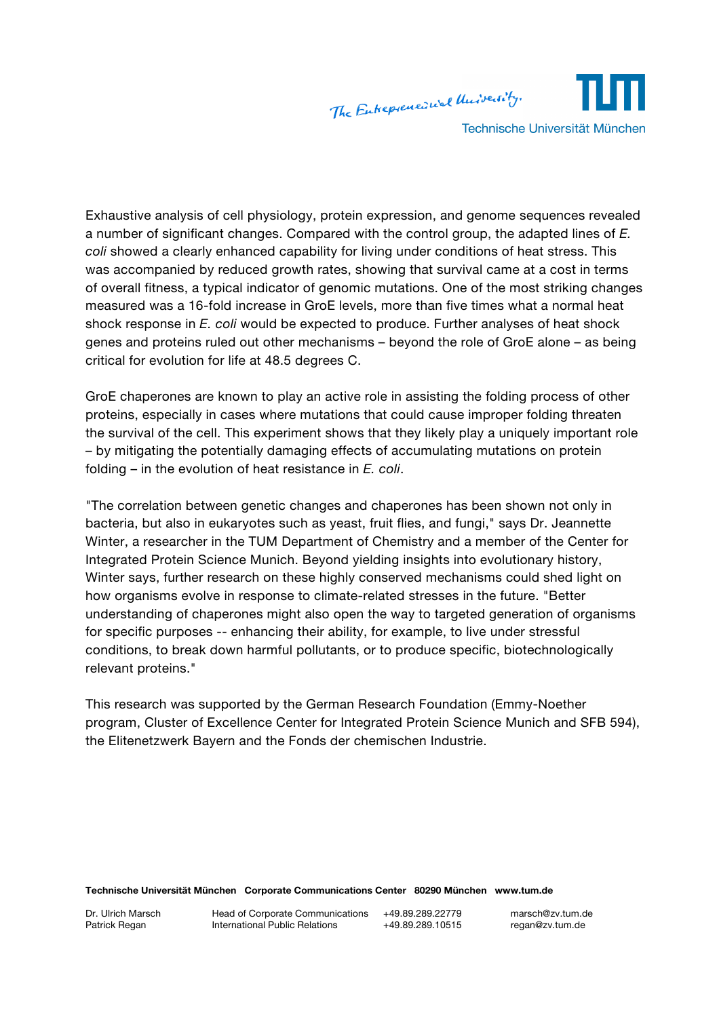The Enterpreneuiual University. Technische Universität München

Exhaustive analysis of cell physiology, protein expression, and genome sequences revealed a number of significant changes. Compared with the control group, the adapted lines of *E. coli* showed a clearly enhanced capability for living under conditions of heat stress. This was accompanied by reduced growth rates, showing that survival came at a cost in terms of overall fitness, a typical indicator of genomic mutations. One of the most striking changes measured was a 16-fold increase in GroE levels, more than five times what a normal heat shock response in *E. coli* would be expected to produce. Further analyses of heat shock genes and proteins ruled out other mechanisms – beyond the role of GroE alone – as being critical for evolution for life at 48.5 degrees C.

GroE chaperones are known to play an active role in assisting the folding process of other proteins, especially in cases where mutations that could cause improper folding threaten the survival of the cell. This experiment shows that they likely play a uniquely important role – by mitigating the potentially damaging effects of accumulating mutations on protein folding – in the evolution of heat resistance in *E. coli*.

"The correlation between genetic changes and chaperones has been shown not only in bacteria, but also in eukaryotes such as yeast, fruit flies, and fungi," says Dr. Jeannette Winter, a researcher in the TUM Department of Chemistry and a member of the Center for Integrated Protein Science Munich. Beyond yielding insights into evolutionary history, Winter says, further research on these highly conserved mechanisms could shed light on how organisms evolve in response to climate-related stresses in the future. "Better understanding of chaperones might also open the way to targeted generation of organisms for specific purposes -- enhancing their ability, for example, to live under stressful conditions, to break down harmful pollutants, or to produce specific, biotechnologically relevant proteins."

This research was supported by the German Research Foundation (Emmy-Noether program, Cluster of Excellence Center for Integrated Protein Science Munich and SFB 594), the Elitenetzwerk Bayern and the Fonds der chemischen Industrie.

#### **Technische Universität München Corporate Communications Center 80290 München www.tum.de**

Dr. Ulrich Marsch **Head of Corporate Communications** +49.89.289.22779 marsch@zv.tum.de Patrick Regan **International Public Relations** +49.89.289.10515 regan@zv.tum.de